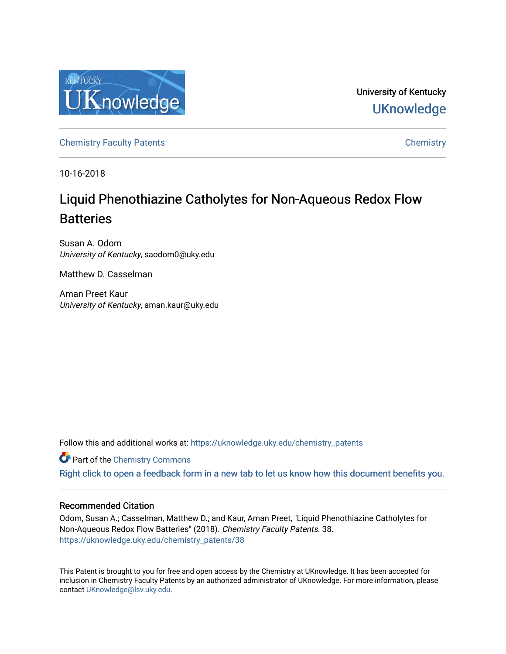

University of Kentucky **UKnowledge** 

[Chemistry Faculty Patents](https://uknowledge.uky.edu/chemistry_patents) **Chemistry** Chemistry

10-16-2018

# Liquid Phenothiazine Catholytes for Non-Aqueous Redox Flow **Batteries**

Susan A. Odom University of Kentucky, saodom0@uky.edu

Matthew D. Casselman

Aman Preet Kaur University of Kentucky, aman.kaur@uky.edu

Follow this and additional works at: [https://uknowledge.uky.edu/chemistry\\_patents](https://uknowledge.uky.edu/chemistry_patents?utm_source=uknowledge.uky.edu%2Fchemistry_patents%2F38&utm_medium=PDF&utm_campaign=PDFCoverPages)

**Part of the Chemistry Commons** 

[Right click to open a feedback form in a new tab to let us know how this document benefits you.](https://uky.az1.qualtrics.com/jfe/form/SV_9mq8fx2GnONRfz7)

## Recommended Citation

Odom, Susan A.; Casselman, Matthew D.; and Kaur, Aman Preet, "Liquid Phenothiazine Catholytes for Non-Aqueous Redox Flow Batteries" (2018). Chemistry Faculty Patents. 38. [https://uknowledge.uky.edu/chemistry\\_patents/38](https://uknowledge.uky.edu/chemistry_patents/38?utm_source=uknowledge.uky.edu%2Fchemistry_patents%2F38&utm_medium=PDF&utm_campaign=PDFCoverPages) 

This Patent is brought to you for free and open access by the Chemistry at UKnowledge. It has been accepted for inclusion in Chemistry Faculty Patents by an authorized administrator of UKnowledge. For more information, please contact [UKnowledge@lsv.uky.edu](mailto:UKnowledge@lsv.uky.edu).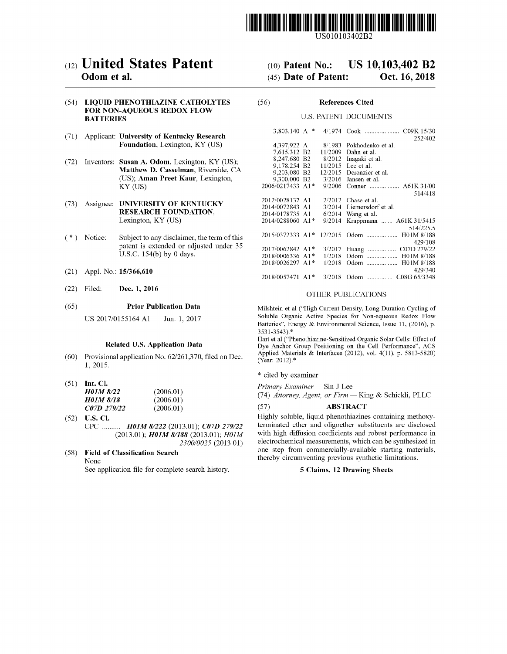

US010103402B2

# c12) **United States Patent**

## **Odom et al.**

#### (54) **LIQUID PHENOTHIAZINE CATHOLYTES FOR NON-AQUEOUS REDOX FLOW BATTERIES**

- (71) Applicant: **University of Kentucky Research Foundation,** Lexington, KY (US)
- (72) Inventors: **Susan A. Odom,** Lexington, KY (US); **Matthew D. Casselman,** Riverside, CA (US); **Aman Preet Kaur,** Lexington, KY (US)
- (73) Assignee: **UNIVERSITY OF KENTUCKY RESEARCH FOUNDATION,**  Lexington, KY (US)
- $(*)$  Notice: Subject to any disclaimer, the term of this patent is extended or adjusted under 35 U.S.C. 154(b) by O days.
- (21) Appl. No.: **15/366,610**
- (22) Filed: **Dec. 1, 2016**

#### (65) **Prior Publication Data**

US 2017/0155164 A1 Jun. 1, 2017

#### **Related U.S. Application Data**

- (60) Provisional application No. 62/261,370, filed on Dec. 1, 2015.
- (51) **Int. Cl.**  *HOlM 8/22 HOlM 8/18 C07D 279122*  (2006.01)  $(2006.01)$  $(2006.01)$
- (52) **U.S. Cl.**  *H01M 8/222 (2013.01); <i>C07D 279/22* (2013.01); *HOlM 8/188* (2013.01); *HOJM 2300/0025* (2013.01)

#### ( 58) **Field of Classification Search**  None

See application file for complete search history.

#### (IO) **Patent No.:**  (45) **Date of Patent: US 10,103,402 B2 Oct. 16, 2018**

#### (56) **References Cited**

#### U.S. PATENT DOCUMENTS

| 3,803,140 A $*$  |         |                         |
|------------------|---------|-------------------------|
|                  |         | 252/402                 |
| 4,397,922 A      | 8/1983  | Pokhodenko et al.       |
| 7,615,312 B2     | 11/2009 | Dahn et al.             |
| 8,247,680 B2     | 8/2012  | Inagaki et al.          |
| 9.178.254 B2     | 11/2015 | Lee et al.              |
| 9.203.080 B2     | 12/2015 | Deronzier et al.        |
| 9,300,000 B2     | 3/2016  | Jansen et al.           |
| 2006/0217433 A1* | 9/2006  | Conner  A61K 31/00      |
|                  |         | 514/418                 |
| 2012/0028137 A1  | 2/2012  | Chase et al.            |
| 2014/0072843 A1  | 3/2014  | Liemersdorf et al.      |
| 2014/0178735 A1  | 6/2014  | Wang et al.             |
| 2014/0288060 A1* | 9/2014  | Krappmann  A61K 31/5415 |
|                  |         | 514/225.5               |
| 2015/0372333 A1* | 12/2015 |                         |
|                  |         | 429/108                 |
| 2017/0062842 A1* | 3/2017  | Huang  C07D 279/22      |
| 2018/0006336 A1* | 1/2018  | Odom  H01M 8/188        |
| 2018/0026297 A1* | 1/2018  | Odom  H01M 8/188        |
|                  |         | 429/340                 |
| 2018/0057471 A1* | 3/2018  |                         |
|                  |         |                         |

#### OTHER PUBLICATIONS

Milshtein et al ("High Current Density, Long Duration Cycling of Soluble Organic Active Species for Non-aqueous Redox Flow Batteries", Energy & Environmental Science, Issue 11, (2016), p. 3531-3543).\*

Hart et al ("Phenothiazine-Sensitized Organic Solar Cells: Effect of Dye Anchor Group Positioning on the Cell Performance", ACS Applied Materials & Interfaces (2012), vol. 4(11), p. 5813-5820) (Year: 2012). \*

\* cited by examiner

*Primary Examiner* - Sin J Lee

(74) Attorney, Agent, or Firm - King & Schickli, PLLC

### (57) **ABSTRACT**

Highly soluble, liquid phenothiazines containing methoxyterminated ether and oligoether substituents are disclosed with high diffusion coefficients and robust performance in electrochemical measurements, which can be synthesized in one step from commercially-available starting materials, thereby circumventing previous synthetic limitations.

#### **5 Claims, 12 Drawing Sheets**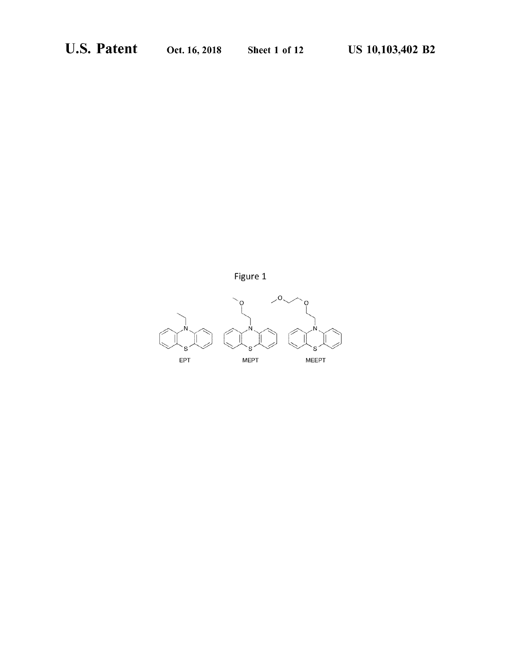

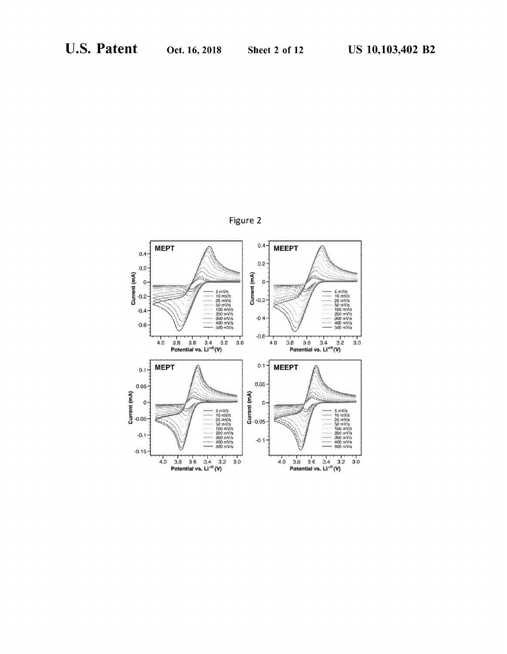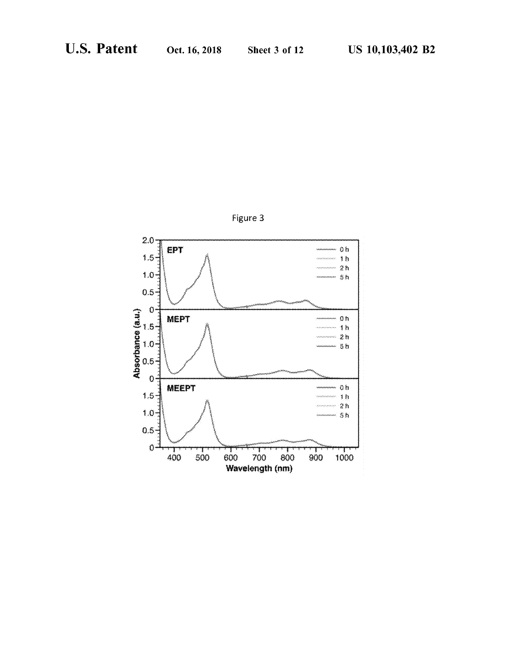

Figure 3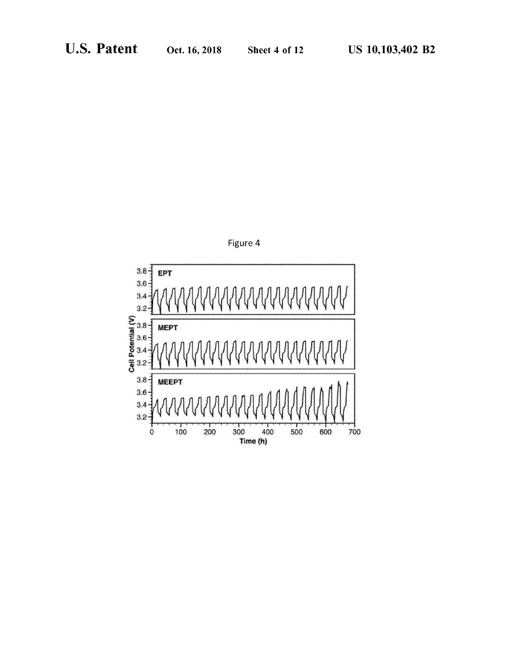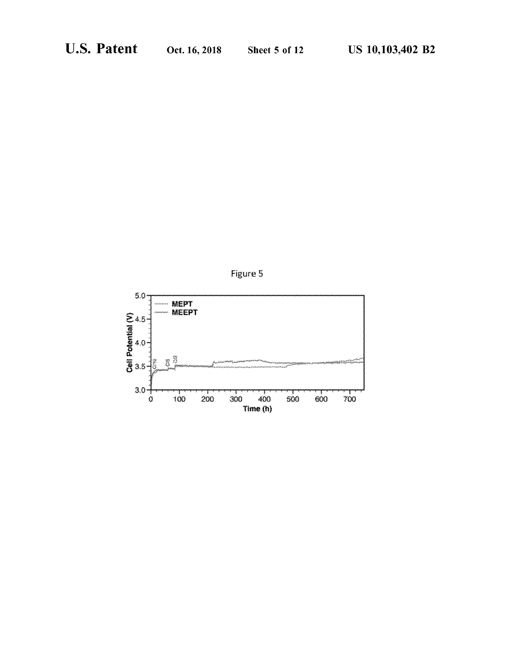

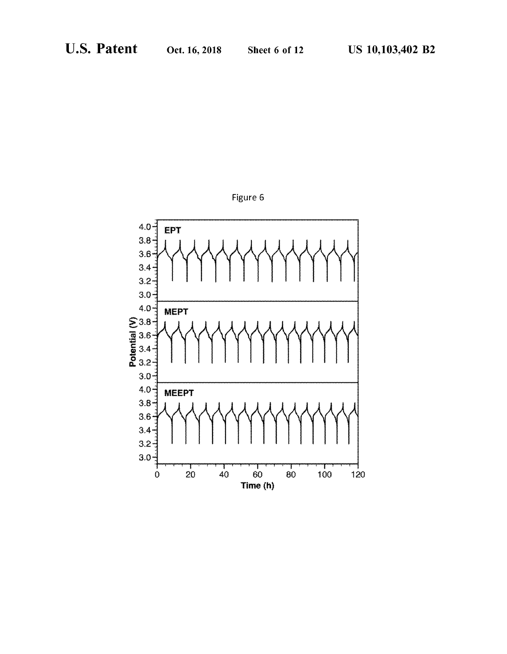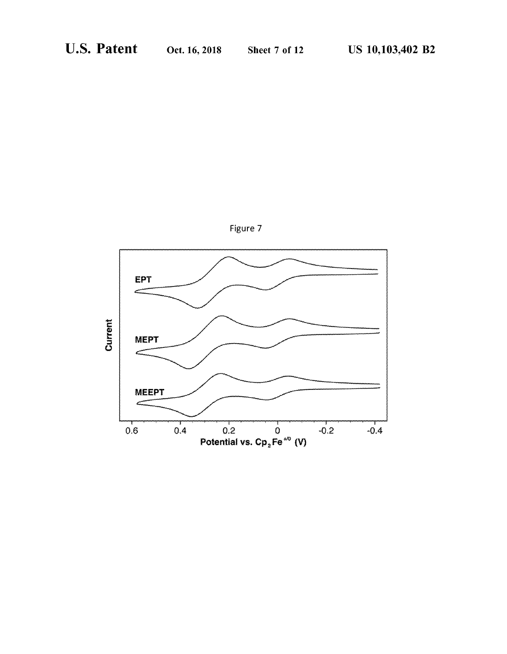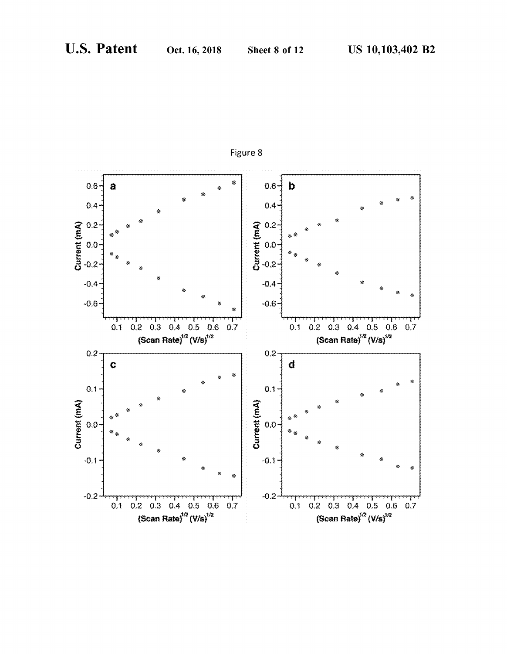

Figure 8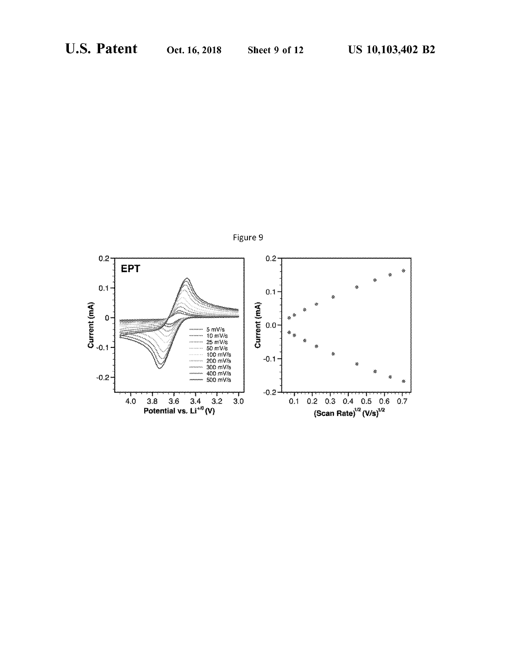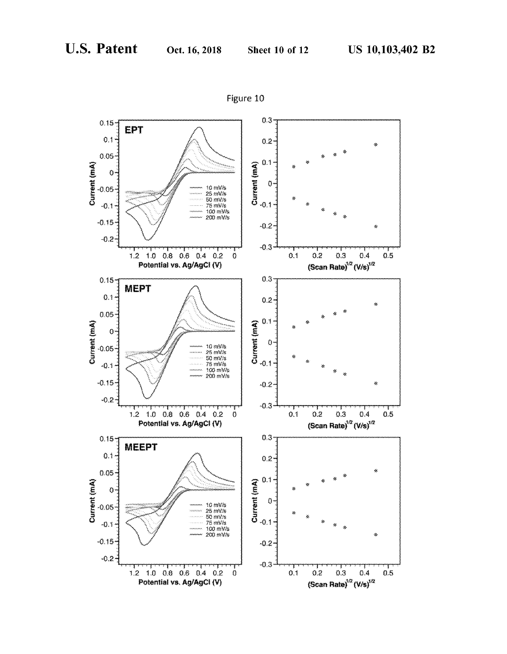

Figure 10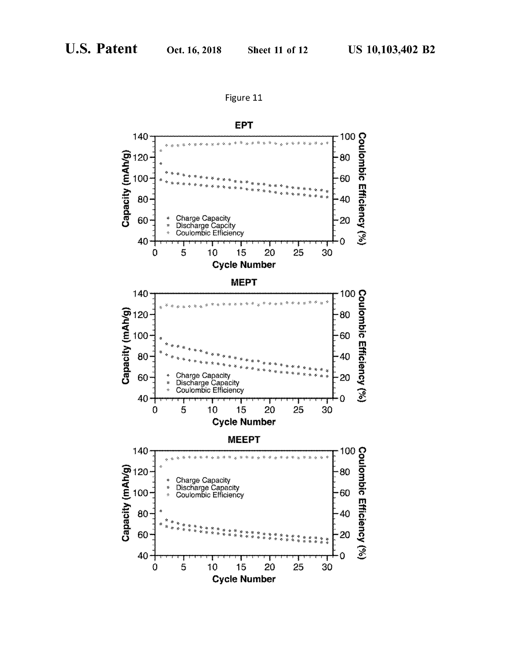

Figure 11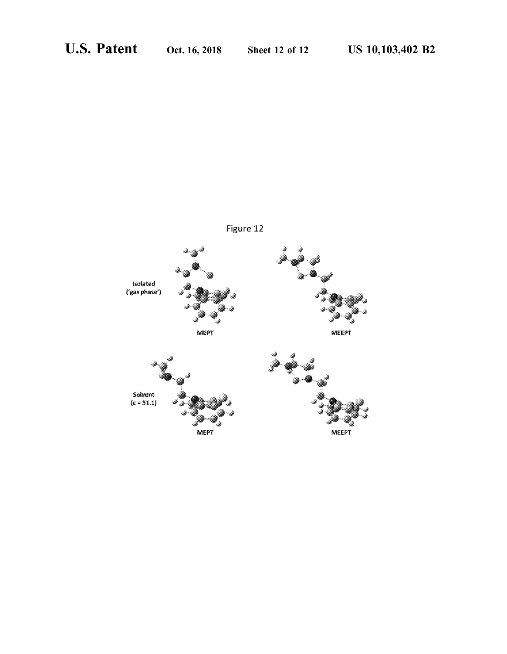

Figure 12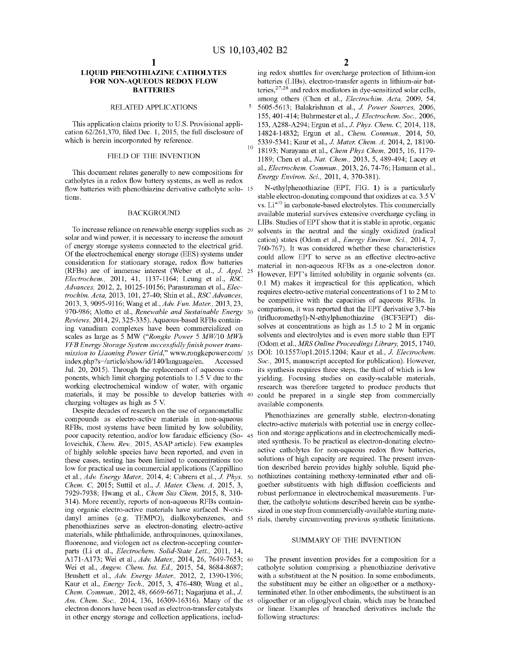### **LIQUID PHENOTHIAZINE CATHOLYTES FOR NON-AQUEOUS REDOX FLOW BATTERIES**

#### RELATED APPLICATIONS

This application claims priority to U.S. Provisional application 62/261,370, filed Dec. 1, 2015, the full disclosure of which is herein incorporated by reference.

*Energy Environ. Sci., 2013, 20, 74*<br> *Energy Environ. Sci., 2011, 4, 370-381).* catholytes in a redox flow battery systems, as well as redox flow batteries with phenothiazine derivative catholyte solu- 15 tions.

#### BACKGROUND

To increase reliance on renewable energy supplies such as solar and wind power, it is necessary to increase the amount of energy storage systems connected to the electrical grid. Of the electrochemical energy storage (EES) systems under could allow EPT to serve as an effective electro-active consideration for stationary storage, redox flow batteries (RFBs) are of immense interest (Weber et al., J. *Appl.* <sup>25</sup> *Electrochem.,* 2011, 41, 1137-1164; Leung et al., *RSC Advances,* 2012, 2, 10125-10156; Parasuraman et al., *Electrochim. Acta,* 2013, 101, 27-40; Shin et al., *RSC Advances,*  2013, 3, 9095-9116; Wang et al., *Adv. Fun. Mater.,* 2013, 23, 970-986; Alotto et al., *Renewable and Sustainable Energy* 30 *Reviews,* 2014, 29, 325-335). Aqueous-based RFBs containing vanadium complexes have been commercialized on scales as large as 5 MW *("Rongke Power* 5 *MW/IO MWh VFB Energy Storage System successfully finish power transmission to Liaoning Power Grid,"* www.rongkepower.com/ 35 index.php?s=/article/show/id/140/language/en, Accessed Jul. 20, 2015). Through the replacement of aqueous components, which limit charging potentials to 1.5 V due to the working electrochemical window of water, with organic materials, it may be possible to develop batteries with 40 charging voltages as high as 5 V.

Despite decades of research on the use of organometallic compounds as electro-active materials in non-aqueous RFBs, most systems have been limited by low solubility, poor capacity retention, and/or low faradaic efficiency (So- 45 loveichik, *Chem. Rev.,* 2015, ASAP article). Few examples of highly soluble species have been reported, and even in these cases, testing has been limited to concentrations too low for practical use in commercial applications (Cappillino et al., *Adv. Energy Mater.,* 2014, 4; Cabrera et al., *J. Phys.* 50 *Chem.* C, 2015; Suttil et al., J. *Mater. Chem. A,* 2015, 3, 7929-7938; Hwang et al., *Chem Sus Chem,* 2015, 8, 310- 314). More recently, reports of non-aqueous RFBs containing organic electro-active materials have surfaced. N-oxidanyl amines (e.g. TEMPO), dialkoxybenzenes, and 55 phenothiazines serve as electron-donating electro-active materials, while phthalimide, anthroquinones, quinoxilanes, fluorenone, and viologen act as electron-accepting counterparts (Li et al., *Electrochem. Solid-State Lett.,* 2011, 14, A171-A173; Wei et al., *Adv. Mater.,* 2014, 26, 7649-7653; 60 Wei et al., *Angew. Chem. Int. Ed.,* 2015, 54, 8684-8687; Brushett et al., *Adv. Energy Mater.,* 2012, 2, 1390-1396; Kaur et al., *Energy Tech.,* 2015, 3, 476-480; Wang et al., *Chem. Commun.,* 2012, 48, 6669-6671; Nagarjuna et al., J. *Am. Chem. Soc.,* 2014, 136, 16309-16316). Many of the 65 electron donors have been used as electron-transfer catalysts in other energy storage and collection applications, includ**2** 

ing redox shuttles for overcharge protection of lithium-ion batteries (LIBs), electron-transfer agents in lithium-air batteries, $2^{7,28}$  and redox mediators in dye-sensitized solar cells, among others (Chen et al., *Electrochim. Acta,* 2009, 54, 5 5605-5613; Balakrishnan et al., *J. Power Sources,* 2006, 155, 401-414; Buhrmester et al., *J. Electrochem. Soc.,* 2006, 153, A288-A294; Ergun et al., J. *Phys. Chem.* C, 2014, 118, 14824-14832; Ergun et al., *Chem. Commun.,* 2014, 50, 5339-5341; Kaur et al., *J. Mater. Chem. A,* 2014, 2, 18190- FIELD OF THE INVENTION <sup>10</sup> 18193; Narayana et al., *Chem Phys Chem*, 2015, 16, 1179-<br>1180; Chan et al., *Net. Cham, 2012, 5, 480, 404; Lagaryat* 1189; Chen et al., *Nat. Chem.,* 2013, 5, 489-494; Lacey et al., *Electrochem. Commun.,* 2013, 26, 74-76; Hamann et al.,

> N-ethylphenothiazine (EPT, FIG. **1)** is a particularly stable electron-donating compound that oxidizes at ca. 3.5 V vs.  $Li^{+/0}$  in carbonate-based electrolytes. This commercially available material survives extensive overcharge cycling in LIBs. Studies of EPT show that it is stable in aprotic, organic solvents in the neutral and the singly oxidized (radical cation) states (Odom et al., *Energy Environ. Sci.,* 2014, 7, 760-767). It was considered whether these characteristics material in non-aqueous RFBs as a one-electron donor. However, EPT's limited solubility in organic solvents (ca. 0.1 M) makes it impractical for this application, which requires electro-active material concentrations of 1 to 2 M to be competitive with the capacities of aqueous RFBs. In comparison, it was reported that the EPT derivative 3,7-bis (trifluoromethyl)-N-ethylphenothiazine (BCF3EPT) dissolves at concentrations as high as 1.5 to 2 M in organic solvents and electrolytes and is even more stable than EPT (Odom et al., *MRS Online Proceedings Library,* 2015, 1740, DOI: 10.1557/opl.2015.1204; Kaur et al., J. *Electrochem. Soc.,* 2015, manuscript accepted for publication). However, its synthesis requires three steps, the third of which is low yielding. Focusing studies on easily-scalable materials, research was therefore targeted to produce products that could be prepared in a single step from commercially available components.

> Phenothiazines are generally stable, electron-donating electro-active materials with potential use in energy collection and storage applications and in electrochemically mediated synthesis. To be practical as electron-donating electroactive catholytes for non-aqueous redox flow batteries, solutions of high capacity are required. The present invention described herein provides highly soluble, liquid phenothiazines containing methoxy-terminated ether and oligoether substituents with high diffusion coefficients and robust performance in electrochemical measurements. Further, the catholyte solutions described herein can be synthesized in one step from commercially-available starting materials, thereby circumventing previous synthetic limitations.

#### SUMMARY OF THE INVENTION

The present invention provides for a composition for a catholyte solution comprising a phenothiazine derivative with a substituent at the N position. In some embodiments, the substituent may be either an oligoether or a methoxyterminated ether. In other embodiments, the substituent is an oligoether or an oligoglycol chain, which may be branched or linear. Examples of branched derivatives include the following structures: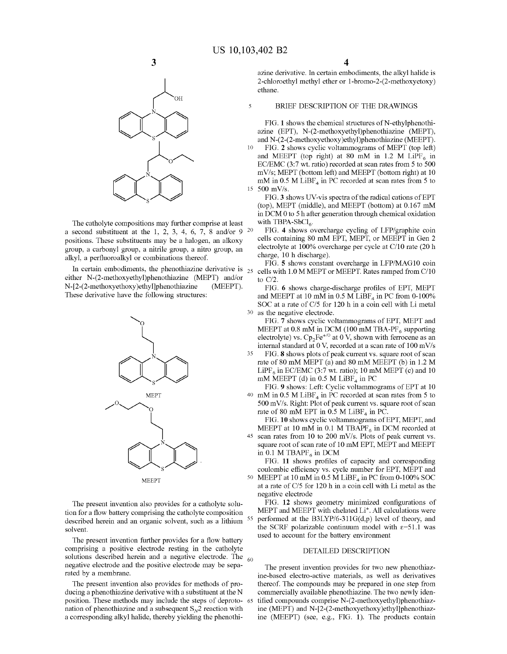10

5



The catholyte compositions may further comprise at least a second substituent at the 1, 2, 3, 4, 6, 7, 8 and/or 9  $20$ positions. These substituents may be a halogen, an alkoxy group, a carbonyl group, a nitrile group, a nitro group, an alkyl, a perfluoroalkyl or combinations thereof.

either N-(2-methoxyethyl)phenothiazine (MEPT) and/or N-[2-(2-methoxyethoxy)ethyl]phenothiazine (MEEPT). These derivative have the following structures:



The present invention also provides for a catholyte solution for a flow battery comprising the catholyte composition described herein and an organic solvent, such as a lithium solvent.

The present invention further provides for a flow battery comprising a positive electrode resting in the catholyte solutions described herein and a negative electrode. The  $_{60}$ negative electrode and the positive electrode may be separated by a membrane.

The present invention also provides for methods of producing a phenothiazine derivative with a substituent at the N position. These methods may include the steps of deprotonation of phenothiazine and a subsequent  $S_{N2}$  reaction with a corresponding alkyl halide, thereby yielding the phenothi-

azine derivative. In certain embodiments, the alkyl halide is 2-chloroethyl methyl ether or l-bromo-2-(2-methoxyetoxy) ethane.

#### BRIEF DESCRIPTION OF THE DRAWINGS

FIG. 1 shows the chemical structures of N-ethylphenothiazine (EPT), N-(2-methoxyethyl)phenothiazine (MEPT), and N-(2-(2-methoxyethoxy)ethyl)phenothiazine (MEEPT).

FIG. **2** shows cyclic voltammograms of MEPT (top left) and MEEPT (top right) at 80 mM in 1.2 M LiPF $_6$  in EC/EMC (3:7 wt. ratio) recorded at scan rates from 5 to 500 mV/s; MEPT (bottom left) and MEEPT (bottom right) at 10 mM in 0.5 M  $LiBF<sub>4</sub>$  in PC recorded at scan rates from 5 to 15 500 mV/s.

FIG. 3 shows UV-vis spectra of the radical cations of EPT (top), MEPT (middle), and MEEPT (bottom) at 0.167 mM in  $DCM<sub>0</sub>$  to 5 h after generation through chemical oxidation with TBPA-SbCl<sub>6</sub>.

FIG. **4** shows overcharge cycling of LFP/graphite coin cells containing 80 mM EPT, MEPT, or MEEPT in Gen 2 electrolyte at 100% overcharge per cycle at C/10 rate (20 h charge, 10 h discharge).

FIG. **5** shows constant overcharge in LFP/MAGlO coin In certain embodiments, the phenothiazine derivative is  $_{25}$  cells with 1.0 M MEPT or MEEPT. Rates ramped from C/10 to C/2.

> FIG. **6** shows charge-discharge profiles of EPT, MEPT and MEEPT at 10 mM in 0.5 M LiBF<sub>4</sub> in PC from 0-100% SOC at a rate of C/5 for 120 h in a coin cell with Li metal 30 as the negative electrode.

FIG. 7 shows cyclic voltammograms of EPT, MEPT and MEEPT at 0.8 mM in DCM (100 mM TBA-PF $_6$  supporting electrolyte) vs.  $Cp_2Fe^{+/0}$  at  $0$  V, shown with ferrocene as an internal standard at 0 V, recorded at a scan rate of  $100$  mV/s

35 FIG. **8** shows plots of peak current vs. square root of scan rate of 80 mM MEPT (a) and 80 mM MEEPT (b) in 1.2 M LiPF<sub>6</sub> in EC/EMC (3:7 wt. ratio); 10 mM MEPT (c) and 10 mM MEEPT (d) in 0.5 M LiBF<sub>4</sub> in PC

FIG. 9 shows: Left: Cyclic voltammograms of EPT at 10 40 mM in 0.5 M LiBF<sub>4</sub> in PC recorded at scan rates from 5 to 500 mV/s. Right: Plot of peak current vs. square root of scan rate of 80 mM EPT in 0.5 M LiBF<sub>4</sub> in PC.

FIG. 10 shows cyclic voltammograms of EPT, MEPT, and MEEPT at 10 mM in 0.1 M TBAPF $_6$  in DCM recorded at 45 scan rates from 10 to 200 mV/s. Plots of peak current vs. square root of scan rate of 10 mM EPT, MEPT and MEEPT in 0.1 M TBAPF $_6$  in DCM

FIG. **11** shows profiles of capacity and corresponding coulombic efficiency vs. cycle number for EPT, MEPT and 50 MEEPT at 10 mM in 0.5 M  $LIBF<sub>4</sub>$  in PC from 0-100% SOC at a rate of C/5 for 120 h in a coin cell with Li metal as the negative electrode

FIG. **12** shows geometry minimized configurations of MEPT and MEEPT with chelated Li<sup>+</sup>. All calculations were performed at the B3LYP/6-311 $G(d,p)$  level of theory, and the SCRF polarizable continuum model with  $\varepsilon$ =51.1 was used to account for the battery environment

#### DETAILED DESCRIPTION

The present invention provides for two new phenothiazine-based electro-active materials, as well as derivatives thereof. The compounds may be prepared in one step from commercially available phenothiazine. The two newly identified compounds comprise N-(2-methoxyethyl)phenothiazine (MEPT) and N-[2-(2-methoxyethoxy)ethyl]phenothiazine (MEEPT) (see, e.g., FIG. **1).** The products contain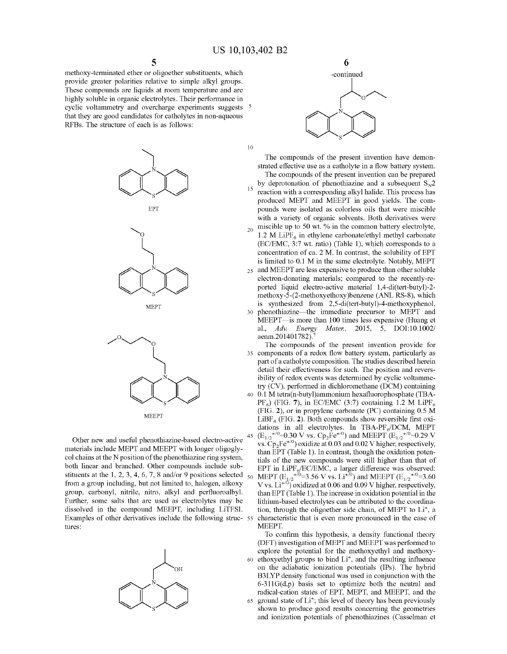methoxy-terminated ether or oligoether substituents, which provide greater polarities relative to simple alkyl groups. These compounds are liquids at room temperature and are highly soluble in organic electrolytes. Their performance in cyclic voltammetry and overcharge experiments suggests 5 that they are good candidates for catholytes in non-aqueous RFBs. The structure of each is as follows:





s *#* 



**MEEPT** 

Other new and useful phenothiazine-based electro-active <sup>45</sup> materials include MEPT and MEEPT with longer oligoglycol chains at the N position of the phenothiazine ring system, both linear and branched. Other compounds include substituents at the 1, 2, 3, 4, 6, 7, 8 and/or 9 positions selected  $_{50}$ from a group including, but not limited to, halogen, alkoxy group, carbonyl, nitrile, nitro, alkyl and perfluoroalbyl. Further, some salts that are used as electrolytes may be dissolved in the compound MEEPT, including LiTFSI. Examples of other derivatives include the following struc- <sup>55</sup> tures:





The compounds of the present invention have demonstrated effective use as a catholyte in a flow battery system. The compounds of the present invention can be prepared by deprotonation of phenothiazine and a subsequent  $S_{\gamma}2$ reaction with a corresponding alkyl halide. This process has produced MEPT and MEEPT in good yields. The compounds were isolated as colorless oils that were miscible with a variety of organic solvents. Both derivatives were  $_{20}$  miscible up to 50 wt. % in the common battery electrolyte, 1.2 M LiPF $_6$  in ethylene carbonate/ethyl methyl carbonate  $(EC/EMC, 3:7 wt. ratio)$  (Table 1), which corresponds to a concentration of ca. 2 M. In contrast, the solubility of EPT is limited to 0.1 M in the same electrolyte. Notably, MEPT and MEEPT are less expensive to produce than other soluble electron-donating materials; compared to the recently-reported liquid electro-active material 1,4-di(tert-butyl)-2 methoxy-5-(2-methoxyethoxy)benzene (ANL RS-8), which is synthesized from 2,5-di(tert-butyl)-4-methoxyphenol, phenothiazine-the immediate precursor to MEPT and MEEPT—is more than 100 times less expensive (Huang et al., *Adv. Energy Mater.,* 2015, 5, DOI:10.1002/ aenm.201401782).

The compounds of the present invention provide for components of a redox flow battery system, particularly as part of a catholyte composition. The studies described herein detail their effectiveness for such. The position and reversibility of redox events was determined by cyclic voltammetry (CV), performed in dichloromethane (DCM) containing 0.1 M tetra(n-butyl)ammonium hexafluorophosphate (TBA- $PF_6$ ) (FIG. 7), in EC/EMC (3:7) containing 1.2 M LiPF<sub>6</sub> (FIG. **2),** or in propylene carbonate (PC) containing 0.5 M  $LiBF<sub>4</sub>$  (FIG. 2). Both compounds show reversible first oxidations in all electrolytes. In TBA-PF $_6$ /DCM, MEPT  $(E_{1/2}^{+/0}=0.30 \text{ V} \text{ vs. } Cp_2Fe^{+/0})$  and MEEPT  $(E_{1/2}^{+/0}=0.29 \text{ V} \text{)}$ vs. *Cp2Fe+<sup>10</sup> )* oxidize at 0.03 and 0.02 V higher, respectively, than EPT (Table 1). In contrast, though the oxidation potentials of the new compounds were still higher than that of EPT in  $LiPF<sub>6</sub>/EC/EMC$ , a larger difference was observed: MEPT ( $E_{1/2}^{+70}$ =3.56 V vs. Li<sup>+70</sup>) and MEEPT ( $E_{1/2}^{+70}$ =3.60 V vs.  $Li^{+/0}$ ) oxidized at 0.06 and 0.09 V higher, respectively, than EPT (Table 1). The increase in oxidation potential in the lithium-based electrolytes can be attributed to the coordination, through the oligoether side chain, of MEPT to Li<sup>+</sup>, a characteristic that is even more pronounced in the case of MEEPT.

To confirm this hypothesis, a density functional theory (DFT) investigation ofMEPT and MEEPT was performed to explore the potential for the methoxyethyl and methoxy-60 ethoxyethyl groups to bind Li<sup>+</sup>, and the resulting influence on the adiabatic ionization potentials (IPs). The hybrid B3LYP density functional was used in conjunction with the  $6-311G(d,p)$  basis set to optimize both the neutral and radical-cation states of EPT, MEPT, and MEEPT, and the 65 ground state of  $Li^+$ ; this level of theory has been previously shown to produce good results concerning the geometries and ionization potentials of phenothiazines (Casselman et

**6**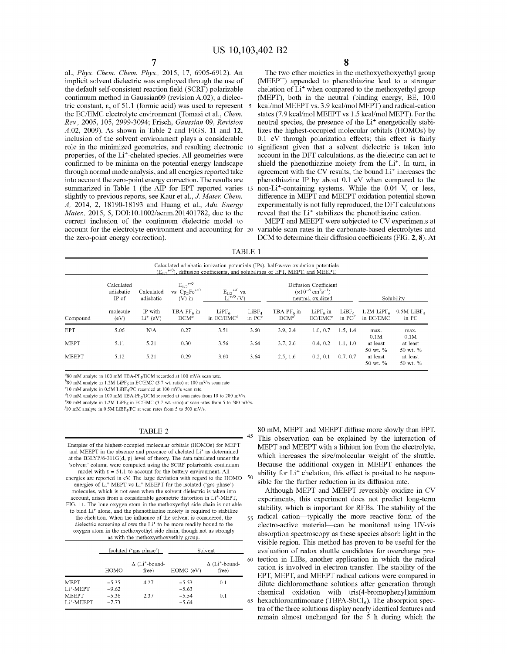al., *Phys. Chem. Chem. Phys.,* 2015, 17, 6905-6912). An implicit solvent dielectric was employed through the use of the default self-consistent reaction field (SCRF) polarizable continuum method in Gaussian09 (revision A.02); a dielectric constant,  $\varepsilon$ , of 51.1 (formic acid) was used to represent 5 the EC/EMC electrolyte environment (Tomasi et al., *Chem. Rev.,* 2005, 105, 2999-3094; Frisch, *Gaussian* 09, *Revision*  A.02, 2009). As shown in Table 2 and FIGS. 11 and 12, inclusion of the solvent environment plays a considerable role in the minimized geometries, and resulting electronic properties, of the Li<sup>+</sup>-chelated species. All geometries were confirmed to be minima on the potential energy landscape through normal mode analysis, and all energies reported take into account the zero-point energy correction. The results are summarized in Table 1 (the AIP for EPT reported varies slightly to previous reports, see Kaur et al., J. *Mater. Chem. A,* 2014, 2, 18190-18193 and Huang et al., *Adv. Energy Mater.,* 2015, 5, DOI:10.1002/aenm.201401782, due to the current inclusion of the continuum dielectric model to account for the electrolyte environment and accounting for 20 the zero-point energy correction).

The two ether moieties in the methoxyethoxyethyl group (MEEPT) appended to phenothiazine lead to a stronger chelation of Li<sup>+</sup> when compared to the methoxyethyl group (MEPT), both in the neutral (binding energy, BE, 10.0 kcal/mo! MEEPT vs. 3 .9 kcal/mo! MEPT) and radical-cation states (7.9 kcal/mo! MEEPT vs 1.5 kcal/mo! MEPT). For the neutral species, the presence of the Li<sup>+</sup> energetically stabilizes the highest-occupied molecular orbitals (HOMOs) by 0.1 eV through polarization effects; this effect is fairly significant given that a solvent dielectric is taken into account in the DFT calculations, as the dielectric can act to shield the phenothiazine moiety from the Li<sup>+</sup>. In turn, in agreement with the CV results, the bound Li<sup>+</sup> increases the phenothiazine IP by about 0.1 eV when compared to the non-Li<sup>+</sup>-containing systems. While the 0.04 V, or less, difference in MEPT and MEEPT oxidation potential shown experimentally is not fully reproduced, the DFT calculations reveal that the Li<sup>+</sup> stabilizes the phenothiazine cation.

MEPT and MEEPT were subjected to CV experiments at variable scan rates in the carbonate-based electrolytes and DCM to determine their diffusion coefficients (FIG. 2, 8). At

TABLE 1

|              |                                  |                         |                                                            | Calculated adiabatic ionization potentials (IPs), half-wave oxidation potentials<br>$(E_{1/2}^{N})$ , diffusion coefficients, and solubilities of EPT, MEPT, and MEEPT. |                                |                                                                                             |                          |                               |                               |                                   |
|--------------|----------------------------------|-------------------------|------------------------------------------------------------|-------------------------------------------------------------------------------------------------------------------------------------------------------------------------|--------------------------------|---------------------------------------------------------------------------------------------|--------------------------|-------------------------------|-------------------------------|-----------------------------------|
|              | Calculated<br>adiabatic<br>IP of | Calculated<br>adiabatic | $E_{1/2}$ <sup>+/0</sup><br>vs. $Cp_2Fe^{+/0}$<br>$(V)$ in | $E_{1/2}$ <sup>+/0</sup> vs.<br>$Li^{+/0}$ (V)                                                                                                                          |                                | Diffusion Coefficient<br>$(x10^{-6}$ cm <sup>2</sup> s <sup>-1</sup> )<br>neutral, oxidized |                          |                               | Solubility                    |                                   |
| Compound     | molecule<br>(eV)                 | IP with<br>$Li^+(eV)$   | TBA-PF $_{6}$ in<br>$DCM^a$                                | LiPF <sub>6</sub><br>in $EC/EMC^b$                                                                                                                                      | LiBF <sub>A</sub><br>in $PC^c$ | TBA-P $F_{6}$ in<br>$DCM^d$                                                                 | $LiPF6$ in<br>$EC/EMC^e$ | LiBF <sub>A</sub><br>in $PCf$ | 1.2M LiPF $_{6}$<br>in EC/EMC | $0.5M$ LiBF <sub>A</sub><br>in PC |
| <b>EPT</b>   | 5.06                             | N/A                     | 0.27                                                       | 3.51                                                                                                                                                                    | 3.60                           | 3.9, 2.4                                                                                    | 1.0, 0.7                 | 1.5, 1.4                      | max.<br>0.1M                  | max.<br>0.1M                      |
| <b>MEPT</b>  | 5.11                             | 5.21                    | 0.30                                                       | 3.56                                                                                                                                                                    | 3.64                           | 3.7, 2.6                                                                                    | 0.4, 0.2                 | 1.1, 1.0                      | at least<br>50 wt. %          | at least<br>50 wt. %              |
| <b>MEEPT</b> | 5.12                             | 5.21                    | 0.29                                                       | 3.60                                                                                                                                                                    | 3.64                           | 2.5, 1.6                                                                                    | 0.2, 0.1                 | 0.7, 0.7                      | at least<br>50 wt. %          | at least<br>50 wt. %              |

 $a_{80}$  mM analyte in 100 mM TBA-PF $\alpha$ DCM recorded at 100 mV/s scan rate.

 $h$ 80 mM analyte in 1.2M LiPF<sub>6</sub> in EC/EMC (3:7 wt. ratio) at 100 mV/s scan rate

 $c$ <sup>10</sup> mM analyte in 0.5M LiBF<sub>4</sub>/PC recorded at 100 mV/s scan rate.

 $d_{10}$  mM analyte in 100 mM TBA-PF<sub>6</sub>/DCM recorded at scan rates from 10 to 200 mV/s.

 $e^{i}$ 80 mM analyte in 1.2M LiPF<sub>6</sub> in EC/EMC (3:7 wt. ratio) at scan rates from 5 to 500 mV/s.

 $f10$  mM analyte in 0.5M LiBF<sub>4</sub>/PC at scan rates from 5 to 500 mV/s.

#### TABLE 2

Energies of the highest-occupied molecular orbitals (HOMOs) for MEPT and MEEPT in the absence and presence of chelated Li<sup>+</sup> as determined at the B3LYP/6-311G(d, p) level of theory. The data tabulated under the 'solvent' column were computed using the SCRF polarizable continuum model with  $\epsilon = 51.1$  to account for the battery environment. All energies are reported in eV. The large deviation with regard to the HOMO 50 energies of Li•-MEPT vs Li•-MEEPT for the isolated ('gas phase') molecules, which is not seen when the solvent dielectric is taken into account, arises from a considerable geometric distortion in Li<sup>+</sup>-MEPT, FIG. 11. The lone oxygen atom in the methoxyethyl side chain is not able to bind Li<sup>+</sup> alone, and the phenothiazine moiety is required to stabilize the chelation. When the influence of the solvent is considered, the dielectric screening allows the  $Li<sup>+</sup>$  to be more readily bound to the oxygen atom in the methoxyethyl side chain, though not as strongly as with the methoxyethoxyethly group

|                                        |                    | Isolated ('gas phase')                     | Solvent            |                                            |    |
|----------------------------------------|--------------------|--------------------------------------------|--------------------|--------------------------------------------|----|
|                                        | HOMO               | $\Delta$ (Li <sup>+</sup> -bound-<br>free) | HOMO (eV)          | $\Delta$ (Li <sup>+</sup> -bound-<br>free) | 60 |
| <b>MEPT</b><br>Li <sup>+</sup> -MEPT   | $-5.35$<br>$-9.62$ | 4.27                                       | $-5.53$<br>$-5.63$ | 0.1                                        |    |
| <b>MEEPT</b><br>Li <sup>+</sup> -MEEPT | $-5.36$<br>$-7.73$ | 2.37                                       | $-5.54$<br>$-5.64$ | 0.1                                        | 65 |

80 mM, MEPT and MEEPT diffuse more slowly than EPT. This observation can be explained by the interaction of MEPT and MEEPT with a lithium ion from the electrolyte, which increases the size/molecular weight of the shuttle. Because the additional oxygen in MEEPT enhances the ability for Li<sup>+</sup> chelation, this effect is posited to be responsible for the further reduction in its diffusion rate.

Although MEPT and MEEPT reversibly oxidize in CV experiments, this experiment does not predict long-term stability, which is important for RFBs. The stability of the 55 radical cation-typically the more reactive form of the electro-active material-can be monitored using UV-vis absorption spectroscopy as these species absorb light in the visible region. This method has proven to be useful for the 65 hexachloroantimonate (TBPA-SbCl<sub>6</sub>). The absorption specevaluation of redox shuttle candidates for overcharge protection in LIBs, another application in which the radical cation is involved in electron transfer. The stability of the EPT, MEPT, and MEEPT radical cations were compared in dilute dichloromethane solutions after generation through chemical oxidation with tris(4-bromophenyl)aminium tra of the three solutions display nearly identical features and remain almost unchanged for the 5 h during which the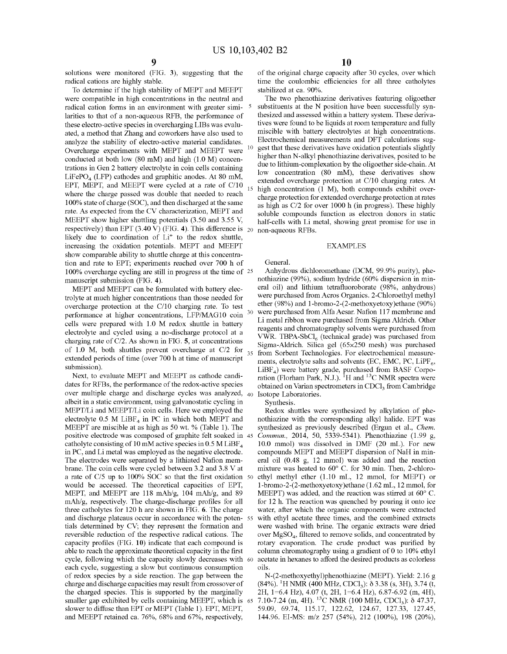solutions were monitored (FIG. 3), suggesting that the radical cations are highly stable.

To determine if the high stability of MEPT and MEEPT were compatible in high concentrations in the neutral and radical cation forms in an environment with greater simi- 5 larities to that of a non-aqueous RFB, the performance of these electro-active species in overcharging LIBs was evaluated, a method that Zhang and coworkers have also used to analyze the stability of electro-active material candidates. Overcharge experiments with MEPT and MEEPT were conducted at both low (80 mM) and high (1.0 M) concentrations in Gen 2 battery electrolyte in coin cells containing  $LiFePO<sub>4</sub> (LFP)$  cathodes and graphitic anodes. At 80 mM, EPT, MEPT, and MEEPT were cycled at a rate of  $C/10$ where the charge passed was double that needed to reach 100% state of charge (SOC), and then discharged at the same rate. As expected from the CV characterization, MEPT and MEEPT show higher shuttling potentials (3.50 and 3.55 V, respectively) than EPT (3.40 V) (FIG. **4).** This difference is 20 non-aqueous RFBs. likely due to coordination of  $Li<sup>+</sup>$  to the redox shuttle, increasing the oxidation potentials. MEPT and MEEPT show comparable ability to shuttle charge at this concentration and rate to EPT; experiments reached over 700 h of 100% overcharge cycling are still in progress at the time of 25 manuscript submission (FIG. **4).** 

MEPT and MEEPT can be formulated with battery electrolyte at much higher concentrations than those needed for overcharge protection at the C/10 charging rate. To test performance at higher concentrations, LFP/MAG10 coin cells were prepared with 1.0 M redox shuttle in battery electrolyte and cycled using a no-discharge protocol at a charging rate of C/2. As shown in FIG. **5,** at concentrations of 1.0 M, both shuttles prevent overcharge at C/2 for  $_{35}$ extended periods of time (over 700 h at time of manuscript submission).

Next, to evaluate MEPT and MEEPT as cathode candidates for RFBs, the performance of the redox-active species over multiple charge and discharge cycles was analyzed, 40 albeit in a static environment, using galvanostatic cycling in MEPT/Li and MEEPT/Li coin cells. Here we employed the electrolyte 0.5 M  $L$ iBF<sub>4</sub> in PC in which both MEPT and MEEPT are miscible at as high as 50 wt.% (Table 1). The positive electrode was composed of graphite felt soaked in 45 catholyte consisting of 10 mM active species in 0.5 M LiBF<sub>4</sub> in PC, and Li metal was employed as the negative electrode. The electrodes were separated by a lithiated Nafion membrane. The coin cells were cycled between 3.2 and 3.8 V at a rate of C/5 up to 100% SOC so that the first oxidation 50 would be accessed. The theoretical capacities of EPT, MEPT, and MEEPT are 118 mAh/g, 104 mAh/g, and 89 mAh/g, respectively. The charge-discharge profiles for all three catholytes for 120 h are shown in FIG. **6.** The charge and discharge plateaus occur in accordance with the poten- 55 tials determined by CV; they represent the formation and reversible reduction of the respective radical cations. The capacity profiles (FIG. **10)** indicate that each compound is able to reach the approximate theoretical capacity in the first cycle, following which the capacity slowly decreases with 60 each cycle, suggesting a slow but continuous consumption of redox species by a side reaction. The gap between the charge and discharge capacities may result from crossover of the charged species. This is supported by the marginally smaller gap exhibited by cells containing MEEPT, which is 65 slower to diffuse than EPT or MEPT (Table 1). EPT, MEPT, and MEEPT retained ca. 76%, 68% and 67%, respectively,

of the original charge capacity after 30 cycles, over which time the coulombic efficiencies for all three catholytes stabilized at ca. 90%.

The two phenothiazine derivatives featuring oligoether substituents at the N position have been successfully synthesized and assessed within a battery system. These derivatives were found to be liquids at room temperature and fully miscible with battery electrolytes at high concentrations. Electrochemical measurements and DFT calculations suggest that these derivatives have oxidation potentials slightly higher than N-alkyl phenothiazine derivatives, posited to be due to lithium-complexation by the oligoether side-chain. At low concentration (80 mM), these derivatives show extended overcharge protection at C/10 charging rates. At high concentration (1 M), both compounds exhibit overcharge protection for extended overcharge protection at rates as high as C/2 for over 1000 h (in progress). These highly soluble compounds function as electron donors in static half-cells with Li metal, showing great promise for use in

#### EXAMPLES

General.

Anhydrous dichloromethane (DCM, 99.9% purity), phenothiazine (99%), sodium hydride (60% dispersion in mineral oil) and lithium tetrafluoroborate (98%, anhydrous) were purchased fromAcros Organics. 2-Chloroethyl methyl ether (98%) and l-bromo-2-(2-methoxyetoxy)ethane (90%) were purchased from Alfa Aesar. Nation 117 membrane and Li metal ribbon were purchased from Sigma Aldrich. Other reagents and chromatography solvents were purchased from VWR. TBPA-Sb $Cl_6$  (technical grade) was purchased from Sigma-Aldrich. Silica gel (65x250 mesh) was purchased from Sorbent Technologies. For electrochemical measurements, electrolyte salts and solvents (EC, EMC, PC, LiPF $_6$ ,  $LiBF<sub>4</sub>$ ) were battery grade, purchased from BASF Corporation (Florham Park, N.J.).  ${}^{1}H$  and  ${}^{13}C$  NMR spectra were obtained on Varian spectrometers in CDCl<sub>3</sub> from Cambridge Isotope Laboratories.

Synthesis.

Redox shuttles were synthesized by alkylation of phenothiazine with the corresponding alkyl halide. EPT was synthesized as previously described (Ergun et al., *Chem. Commun.,* 2014, 50, 5339-5341). Phenothiazine (1.99 g, 10.0 mmol) was dissolved in DMF (20 mL). For new compounds MEPT and MEEPT dispersion of NaH in mineral oil (0.48 g, 12 mmol) was added and the reaction mixture was heated to 60° C. for 30 min. Then, 2-chloroethyl methyl ether (1.10 mL, 12 mmol, for MEPT) or l-bromo-2-(2-methoxyetoxy)ethane (1.62 mL, 12 mmol, for MEEPT) was added, and the reaction was stirred at 60° C. for 12 h. The reaction was quenched by pouring it onto ice water, after which the organic components were extracted with ethyl acetate three times, and the combined extracts were washed with brine. The organic extracts were dried over  $MgSO<sub>4</sub>$ , filtered to remove solids, and concentrated by rotary evaporation. The crude product was purified by colurmi chromatography using a gradient of O to 10% ethyl acetate in hexanes to afford the desired products as colorless oils.

N-(2-methoxyethyl)phenothiazine (MEPT). Yield: 2.16 g  $(84\%)$ . <sup>1</sup>H NMR (400 MHz, CDCl<sub>3</sub>):  $\delta$  3.38 (s, 3H), 3.74 (t, 2H, 1=6.4 Hz), 4.07 (t, 2H, 1=6.4 Hz), 6.87-6.92 (m, 4H), 7.10-7.24 (m, 4H). <sup>13</sup>C NMR (100 MHz, CDCl<sub>3</sub>):  $\delta$  47.37, 59.09, 69.74, 115.17, 122.62, 124.67, 127.33, 127.45, 144.96. EI-MS: m/z 257 (54%), 212 (100%), 198 (20%),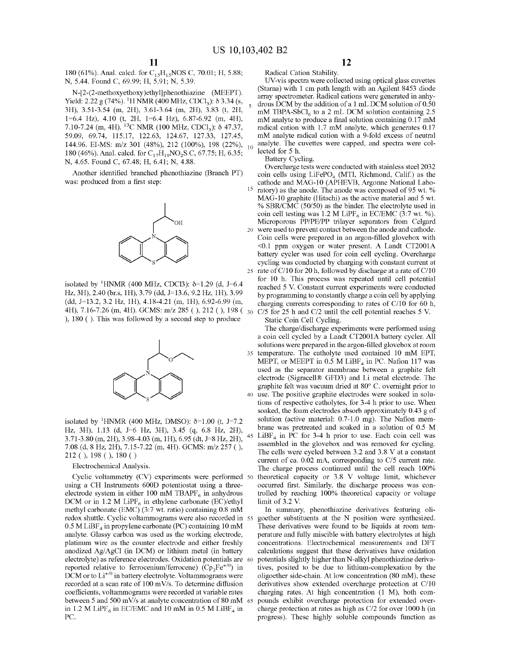180 (61%). Anal. calcd. for C<sub>15</sub>H<sub>15</sub>NOS C, 70.01; H, 5.88; N, 5.44. Found C, 69.99; H, 5.91; N, 5.39.

N-[2-(2-methoxyethoxy)ethyl]phenothiazine (MEEPT). Yield: 2.22 g (74%). <sup>1</sup>H NMR (400 MHz, CDCl<sub>3</sub>):  $\delta$  3.34 (s, 3H), 3.51-3.54 (m, 2H), 3.61-3.64 (m, 2H), 3.83 (t, 2H, 1=6.4 Hz), 4.10 (t, 2H, 1=6.4 Hz), 6.87-6.92 (m, 4H), 7.10-7.24 (m, 4H). <sup>13</sup>C NMR (100 MHz, CDCl<sub>3</sub>):  $\delta$  47.37, 59.09, 69.74, 115.17, 122.63, 124.67, 127.33, 127.45, 144.96. EI-MS: m/z 301 (48%), 212 (100%), 198 (22%), 10 180 (46%). Anal. calcd. for C<sub>17</sub>H<sub>19</sub>NO<sub>2</sub>S C, 67.75; H, 6.35; N, 4.65. Found C, 67.48; H, 6.41; N, 4.88.

Another identified branched phenothiazine (Branch PT) was: produced from a first step:



isolated by <sup>1</sup>HNMR (400 MHz, CDCl3):  $\delta$ =1.29 (d, J=6.4 Hz, 3H), 2.40 (br.s, lH), 3.79 (dd, J=13.6, 9.2 Hz, lH), 3.99 (dd, J=13.2, 3.2 Hz, lH), 4.18-4.21 (m, lH), 6.92-6.99 (m, 4H), 7.16-7.26 (m, 4H). GCMS: m/z 285 ( ), 212 ( ), 198 ( ), 180 ( ). This was followed by a second step to produce



isolated by <sup>1</sup>HNMR (400 MHz, DMSO):  $\delta$ =1.00 (t, J=7.2 Hz, 3H), 1.13 (d, J=6 Hz, 3H), 3.45 (q, 6.8 Hz, 2H), 3.71-3.80 (m, 2H), 3.98-4.03 (m, lH), 6.95 (dt, J=8 Hz, 2H), 7.08 (d, 8 Hz, 2H), 7.15-7.22 (m, 4H). GCMS: m/z 257 ( ), 212 ( ), 198 ( ), 180 ( )

Electrochemical Analysis.

Cyclic voltammetry (CV) experiments were performed 50 using a CH Instruments 600D potentiostat using a threeelectrode system in either 100 mM TBAPF<sub>6</sub> in anhydrous DCM or in 1.2 M LiPF<sub>6</sub> in ethylene carbonate (EC)/ethyl methyl carbonate (EMC) (3:7 wt. ratio) containing 0.8 mM redox shuttle. Cyclic voltammograms were also recorded in 55  $0.5$  M LiBF<sub>4</sub> in propylene carbonate (PC) containing 10 mM analyte. Glassy carbon was used as the working electrode, platinum wire as the counter electrode and either freshly anodized Ag/AgCl (in DCM) or lithium metal (in battery electrolyte) as reference electrodes. Oxidation potentials are 60 reported relative to ferrocenium/ferrocene) ( $Cp_2Fe^{+/0}$ ) in DCM or to  $Li^{+/0}$  in battery electrolyte. Voltammograms were recorded at a scan rate of  $100 \text{ mV/s}$ . To determine diffusion coefficients, voltammograms were recorded at variable rates between 5 and 500 mV/s at analyte concentration of 80 mM 65 in 1.2 M LiPF<sub>6</sub> in EC/EMC and 10 mM in 0.5 M LiBF<sub>4</sub> in PC.

Radical Cation Stability.

UV-vis spectra were collected using optical glass cuvettes (Starna) with 1 cm path length with an Agilent 8453 diode array spectrometer. Radical cations were generated in anhydrous DCM by the addition of a 1 mL DCM solution of 0.50 mM TBPA-SbCl<sub>6</sub> to a 2 mL DCM solution containing 2.5 mM analyte to produce a final solution containing 0.17 mM radical cation with 1.7 mM analyte, which generates 0.17 mM analyte radical cation with a 9-fold excess of neutral analyte. The cuvettes were capped, and spectra were collected for 5 h.

Battery Cycling.

Overcharge tests were conducted with stainless steel 2032 coin cells using  $LiFePO<sub>4</sub>$  (MTI, Richmond, Calif.) as the cathode and MAG-10 (APHEVB, Argonne National Laboratory) as the anode. The anode was composed of 95 wt. % MAG-10 graphite (Hitachi) as the active material and 5 wt. % SBR/C $\overline{MC}$  (50/50) as the binder. The electrolyte used in coin cell testing was 1.2 M LiPF<sub>6</sub> in EC/EMC (3:7 wt. %). Microporous PP/PE/PP trilayer separators from Celgard 20 were used to prevent contact between the anode and cathode. Coin cells were prepared in an argon-filled glovebox with <0.1 ppm oxygen or water present. A Landt CT2001A battery cycler was used for coin cell cycling. Overcharge cycling was conducted by charging with constant current at 25 rate of  $C/10$  for 20 h, followed by discharge at a rate of  $C/10$ for 10 h. This process was repeated until cell potential reached 5 V. Constant current experiments were conducted by programming to constantly charge a coin cell by applying charging currents corresponding to rates of C/10 for 60 h,  $C/5$  for 25 h and  $C/2$  until the cell potential reaches 5 V.

Static Coin Cell Cycling.

The charge/discharge experiments were performed using a coin cell cycled by a Landt CT2001A battery cycler. All solutions were prepared in the argon-filled glovebox at room 35 temperature. The catholyte used contained 10 mM EPT, MEPT, or MEEPT in 0.5 M  $L$ iBF<sub>4</sub> in PC. Nation 117 was used as the separator membrane between a graphite felt electrode (Sigracell® GFD3) and Li metal electrode. The graphite felt was vacuum dried at 80° C. overnight prior to 40 use. The positive graphite electrodes were soaked in solutions of respective catholytes, for 3-4 h prior to use. When soaked, the foam electrodes absorb approximately 0.43 g of solution (active material:  $0.7-1.0$  mg). The Nation membrane was pretreated and soaked in a solution of 0.5 M 45 LiBF<sub>4</sub> in PC for 3-4 h prior to use. Each coin cell was assembled in the glovebox and was removed for cycling. The cells were cycled between 3.2 and 3.8 V at a constant current of ca. 0.02 mA, corresponding to C/5 current rate. The charge process continued until the cell reach 100% theoretical capacity or 3.8 V voltage limit, whichever occurred first. Similarly, the discharge process was controlled by reaching 100% theoretical capacity or voltage limit of 3.2 V.

In summary, phenothiazine derivatives featuring oligoether substituents at the N position were synthesized. These derivatives were found to be liquids at room temperature and fully miscible with battery electrolytes at high concentrations. Electrochemical measurements and DFT calculations suggest that these derivatives have oxidation potentials slightly higher than N-alkyl phenothiazine derivatives, posited to be due to lithium-complexation by the oligoether side-chain. At low concentration (80 mM), these derivatives show extended overcharge protection at C/10 charging rates. At high concentration (1 M), both compounds exhibit overcharge protection for extended overcharge protection at rates as high as C/2 for over 1000 h (in progress). These highly soluble compounds function as